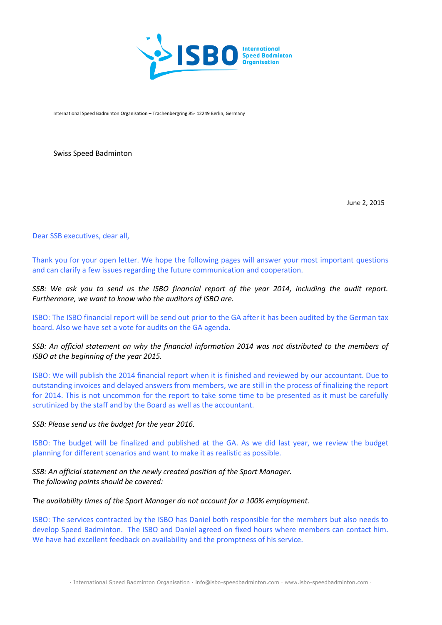

International Speed Badminton Organisation – Trachenbergring 85- 12249 Berlin, Germany

Swiss Speed Badminton

June 2, 2015

Dear SSB executives, dear all,

Thank you for your open letter. We hope the following pages will answer your most important questions and can clarify a few issues regarding the future communication and cooperation.

*SSB: We ask you to send us the ISBO financial report of the year 2014, including the audit report. Furthermore, we want to know who the auditors of ISBO are.* 

ISBO: The ISBO financial report will be send out prior to the GA after it has been audited by the German tax board. Also we have set a vote for audits on the GA agenda.

## *SSB: An official statement on why the financial information 2014 was not distributed to the members of ISBO at the beginning of the year 2015.*

ISBO: We will publish the 2014 financial report when it is finished and reviewed by our accountant. Due to outstanding invoices and delayed answers from members, we are still in the process of finalizing the report for 2014. This is not uncommon for the report to take some time to be presented as it must be carefully scrutinized by the staff and by the Board as well as the accountant.

*SSB: Please send us the budget for the year 2016.* 

ISBO: The budget will be finalized and published at the GA. As we did last year, we review the budget planning for different scenarios and want to make it as realistic as possible.

*SSB: An official statement on the newly created position of the Sport Manager. The following points should be covered:* 

*The availability times of the Sport Manager do not account for a 100% employment.*

ISBO: The services contracted by the ISBO has Daniel both responsible for the members but also needs to develop Speed Badminton. The ISBO and Daniel agreed on fixed hours where members can contact him. We have had excellent feedback on availability and the promptness of his service.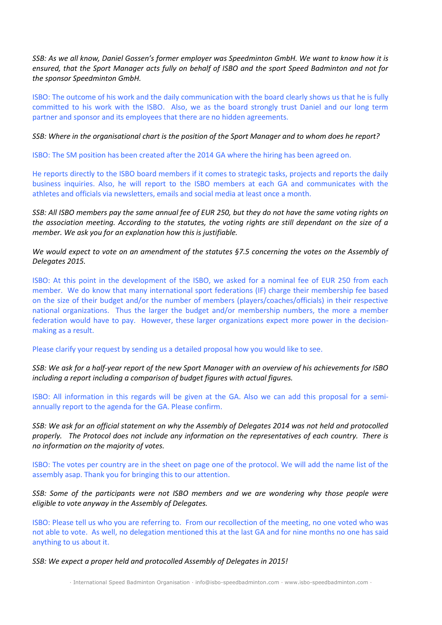*SSB: As we all know, Daniel Gossen's former employer was Speedminton GmbH. We want to know how it is ensured, that the Sport Manager acts fully on behalf of ISBO and the sport Speed Badminton and not for the sponsor Speedminton GmbH.*

ISBO: The outcome of his work and the daily communication with the board clearly shows us that he is fully committed to his work with the ISBO. Also, we as the board strongly trust Daniel and our long term partner and sponsor and its employees that there are no hidden agreements.

*SSB: Where in the organisational chart is the position of the Sport Manager and to whom does he report?* 

ISBO: The SM position has been created after the 2014 GA where the hiring has been agreed on.

He reports directly to the ISBO board members if it comes to strategic tasks, projects and reports the daily business inquiries. Also, he will report to the ISBO members at each GA and communicates with the athletes and officials via newsletters, emails and social media at least once a month.

*SSB: All ISBO members pay the same annual fee of EUR 250, but they do not have the same voting rights on the association meeting. According to the statutes, the voting rights are still dependant on the size of a member. We ask you for an explanation how this is justifiable.* 

*We would expect to vote on an amendment of the statutes §7.5 concerning the votes on the Assembly of Delegates 2015.* 

ISBO: At this point in the development of the ISBO, we asked for a nominal fee of EUR 250 from each member. We do know that many international sport federations (IF) charge their membership fee based on the size of their budget and/or the number of members (players/coaches/officials) in their respective national organizations. Thus the larger the budget and/or membership numbers, the more a member federation would have to pay. However, these larger organizations expect more power in the decisionmaking as a result.

Please clarify your request by sending us a detailed proposal how you would like to see.

*SSB: We ask for a half-year report of the new Sport Manager with an overview of his achievements for ISBO including a report including a comparison of budget figures with actual figures.* 

ISBO: All information in this regards will be given at the GA. Also we can add this proposal for a semiannually report to the agenda for the GA. Please confirm.

*SSB: We ask for an official statement on why the Assembly of Delegates 2014 was not held and protocolled properly. The Protocol does not include any information on the representatives of each country. There is no information on the majority of votes.* 

ISBO: The votes per country are in the sheet on page one of the protocol. We will add the name list of the assembly asap. Thank you for bringing this to our attention.

*SSB: Some of the participants were not ISBO members and we are wondering why those people were eligible to vote anyway in the Assembly of Delegates.* 

ISBO: Please tell us who you are referring to. From our recollection of the meeting, no one voted who was not able to vote. As well, no delegation mentioned this at the last GA and for nine months no one has said anything to us about it.

*SSB: We expect a proper held and protocolled Assembly of Delegates in 2015!*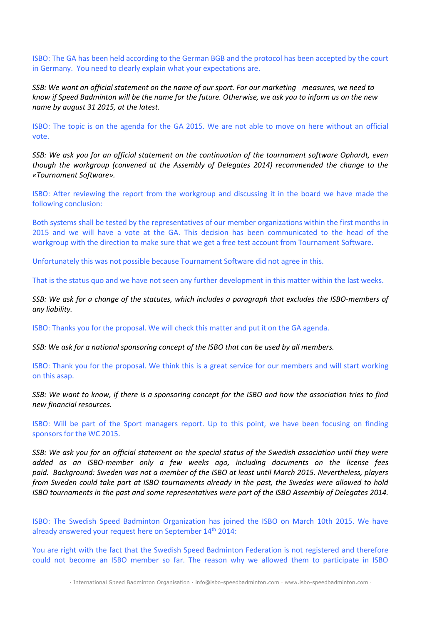ISBO: The GA has been held according to the German BGB and the protocol has been accepted by the court in Germany. You need to clearly explain what your expectations are.

*SSB: We want an official statement on the name of our sport. For our marketing measures, we need to know if Speed Badminton will be the name for the future. Otherwise, we ask you to inform us on the new name by august 31 2015, at the latest.* 

ISBO: The topic is on the agenda for the GA 2015. We are not able to move on here without an official vote.

*SSB: We ask you for an official statement on the continuation of the tournament software Ophardt, even though the workgroup (convened at the Assembly of Delegates 2014) recommended the change to the «Tournament Software».* 

ISBO: After reviewing the report from the workgroup and discussing it in the board we have made the following conclusion:

Both systems shall be tested by the representatives of our member organizations within the first months in 2015 and we will have a vote at the GA. This decision has been communicated to the head of the workgroup with the direction to make sure that we get a free test account from Tournament Software.

Unfortunately this was not possible because Tournament Software did not agree in this.

That is the status quo and we have not seen any further development in this matter within the last weeks.

*SSB: We ask for a change of the statutes, which includes a paragraph that excludes the ISBO-members of any liability.* 

ISBO: Thanks you for the proposal. We will check this matter and put it on the GA agenda.

*SSB: We ask for a national sponsoring concept of the ISBO that can be used by all members.* 

ISBO: Thank you for the proposal. We think this is a great service for our members and will start working on this asap.

*SSB: We want to know, if there is a sponsoring concept for the ISBO and how the association tries to find new financial resources.* 

ISBO: Will be part of the Sport managers report. Up to this point, we have been focusing on finding sponsors for the WC 2015.

*SSB: We ask you for an official statement on the special status of the Swedish association until they were added as an ISBO-member only a few weeks ago, including documents on the license fees paid. Background: Sweden was not a member of the ISBO at least until March 2015. Nevertheless, players from Sweden could take part at ISBO tournaments already in the past, the Swedes were allowed to hold ISBO tournaments in the past and some representatives were part of the ISBO Assembly of Delegates 2014.* 

ISBO: The Swedish Speed Badminton Organization has joined the ISBO on March 10th 2015. We have already answered your request here on September 14<sup>th</sup> 2014:

You are right with the fact that the Swedish Speed Badminton Federation is not registered and therefore could not become an ISBO member so far. The reason why we allowed them to participate in ISBO